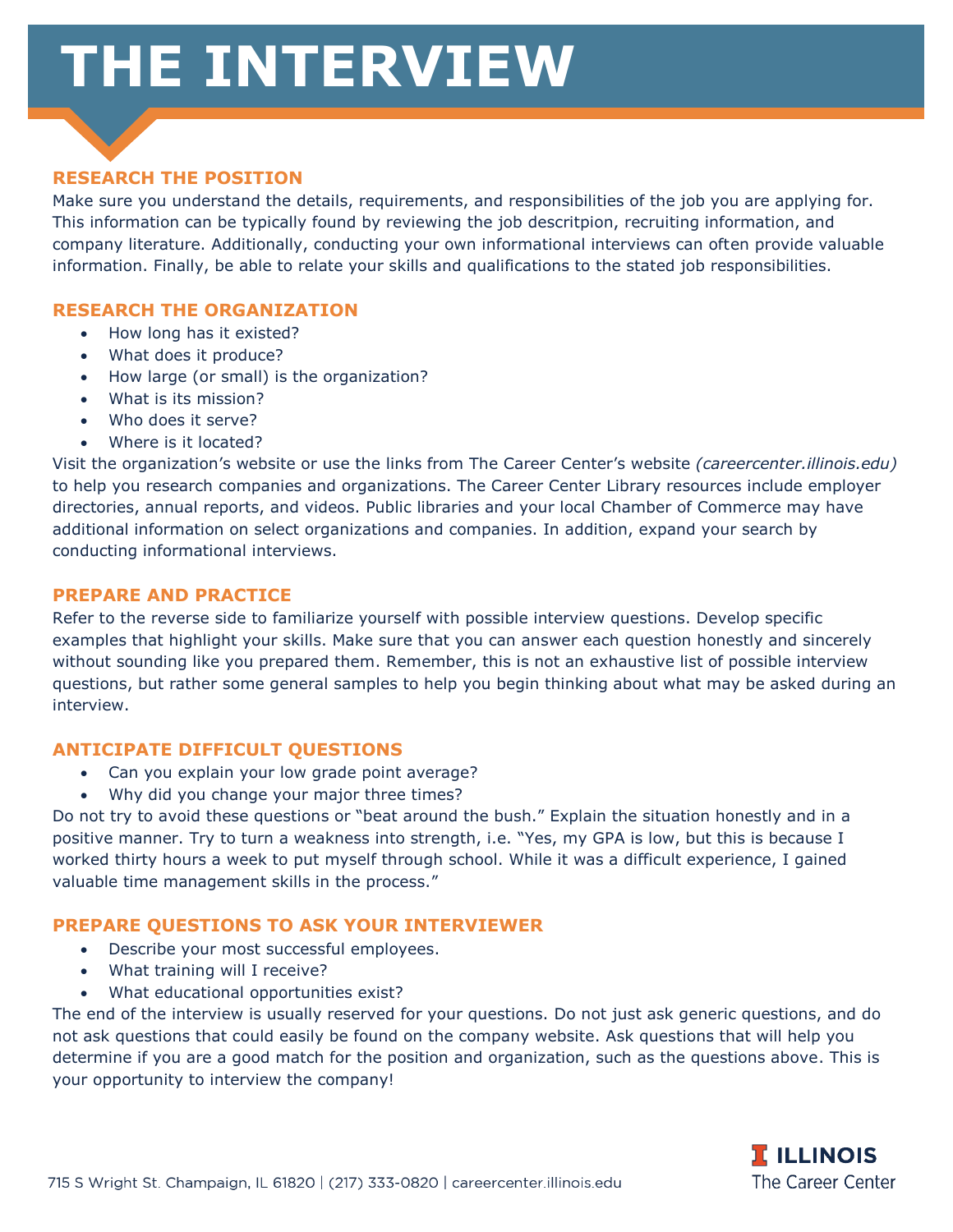# **THE INTERVIEW**



# **RESEARCH THE POSITION**

Make sure you understand the details, requirements, and responsibilities of the job you are applying for. This information can be typically found by reviewing the job descritpion, recruiting information, and company literature. Additionally, conducting your own informational interviews can often provide valuable information. Finally, be able to relate your skills and qualifications to the stated job responsibilities.

# **RESEARCH THE ORGANIZATION**

- How long has it existed?
- What does it produce?
- How large (or small) is the organization?
- What is its mission?
- Who does it serve?
- Where is it located?

Visit the organization's website or use the links from The Career Center's website *(careercenter.illinois.edu)* to help you research companies and organizations. The Career Center Library resources include employer directories, annual reports, and videos. Public libraries and your local Chamber of Commerce may have additional information on select organizations and companies. In addition, expand your search by conducting informational interviews.

## **PREPARE AND PRACTICE**

Refer to the reverse side to familiarize yourself with possible interview questions. Develop specific examples that highlight your skills. Make sure that you can answer each question honestly and sincerely without sounding like you prepared them. Remember, this is not an exhaustive list of possible interview questions, but rather some general samples to help you begin thinking about what may be asked during an interview.

#### **ANTICIPATE DIFFICULT QUESTIONS**

- Can you explain your low grade point average?
- Why did you change your major three times?

Do not try to avoid these questions or "beat around the bush." Explain the situation honestly and in a positive manner. Try to turn a weakness into strength, i.e. "Yes, my GPA is low, but this is because I worked thirty hours a week to put myself through school. While it was a difficult experience, I gained valuable time management skills in the process."

#### **PREPARE QUESTIONS TO ASK YOUR INTERVIEWER**

- Describe your most successful employees.
- What training will I receive?
- What educational opportunities exist?

The end of the interview is usually reserved for your questions. Do not just ask generic questions, and do not ask questions that could easily be found on the company website. Ask questions that will help you determine if you are a good match for the position and organization, such as the questions above. This is your opportunity to interview the company!